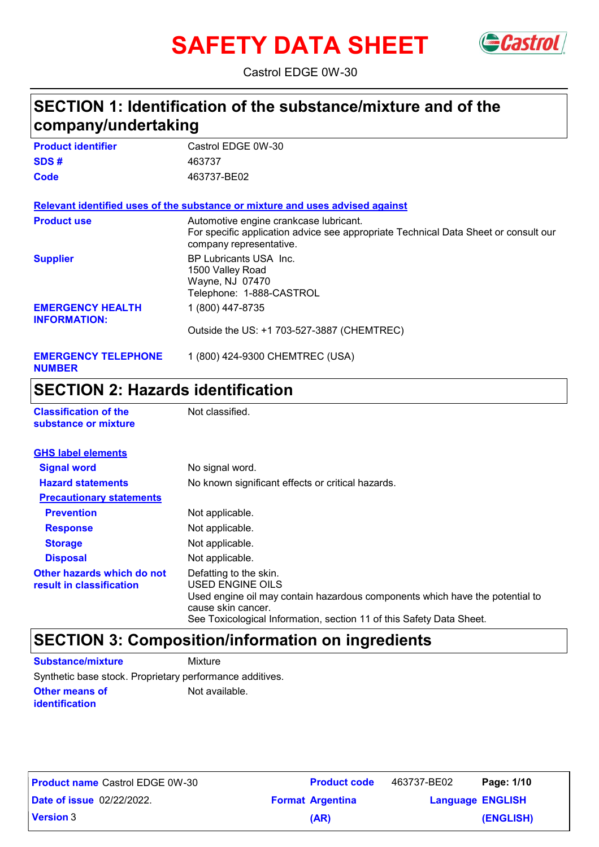# **SAFETY DATA SHEET**



Castrol EDGE 0W-30

### **SECTION 1: Identification of the substance/mixture and of the company/undertaking**

| <b>Product identifier</b>                      | Castrol EDGE 0W-30                                                                                                                                       |
|------------------------------------------------|----------------------------------------------------------------------------------------------------------------------------------------------------------|
| SDS#                                           | 463737                                                                                                                                                   |
| Code                                           | 463737-BE02                                                                                                                                              |
|                                                | Relevant identified uses of the substance or mixture and uses advised against                                                                            |
| <b>Product use</b>                             | Automotive engine crankcase lubricant.<br>For specific application advice see appropriate Technical Data Sheet or consult our<br>company representative. |
| <b>Supplier</b>                                | BP Lubricants USA Inc.<br>1500 Valley Road<br>Wayne, NJ 07470<br>Telephone: 1-888-CASTROL                                                                |
| <b>EMERGENCY HEALTH</b><br><b>INFORMATION:</b> | 1 (800) 447-8735                                                                                                                                         |
|                                                | Outside the US: +1 703-527-3887 (CHEMTREC)                                                                                                               |
| <b>EMERGENCY TELEPHONE</b><br><b>NUMBER</b>    | 1 (800) 424-9300 CHEMTREC (USA)                                                                                                                          |

### **SECTION 2: Hazards identification**

| <b>Classification of the</b><br>substance or mixture   | Not classified.                                                                                                                                                                                                          |  |
|--------------------------------------------------------|--------------------------------------------------------------------------------------------------------------------------------------------------------------------------------------------------------------------------|--|
| <b>GHS label elements</b>                              |                                                                                                                                                                                                                          |  |
| <b>Signal word</b>                                     | No signal word.                                                                                                                                                                                                          |  |
| <b>Hazard statements</b>                               | No known significant effects or critical hazards.                                                                                                                                                                        |  |
| <b>Precautionary statements</b>                        |                                                                                                                                                                                                                          |  |
| <b>Prevention</b>                                      | Not applicable.                                                                                                                                                                                                          |  |
| <b>Response</b>                                        | Not applicable.                                                                                                                                                                                                          |  |
| <b>Storage</b>                                         | Not applicable.                                                                                                                                                                                                          |  |
| <b>Disposal</b>                                        | Not applicable.                                                                                                                                                                                                          |  |
| Other hazards which do not<br>result in classification | Defatting to the skin.<br>USED ENGINE OILS<br>Used engine oil may contain hazardous components which have the potential to<br>cause skin cancer.<br>See Toxicological Information, section 11 of this Safety Data Sheet. |  |

### **SECTION 3: Composition/information on ingredients**

**Other means of identification** Not available. **Substance/mixture Mixture** Synthetic base stock. Proprietary performance additives.

| <b>Product name Castrol EDGE 0W-30</b> | <b>Product code</b>     | 463737-BE02             | Page: 1/10 |
|----------------------------------------|-------------------------|-------------------------|------------|
| <b>Date of issue 02/22/2022.</b>       | <b>Format Argentina</b> | <b>Language ENGLISH</b> |            |
| <b>Version 3</b>                       | (AR)                    |                         | (ENGLISH)  |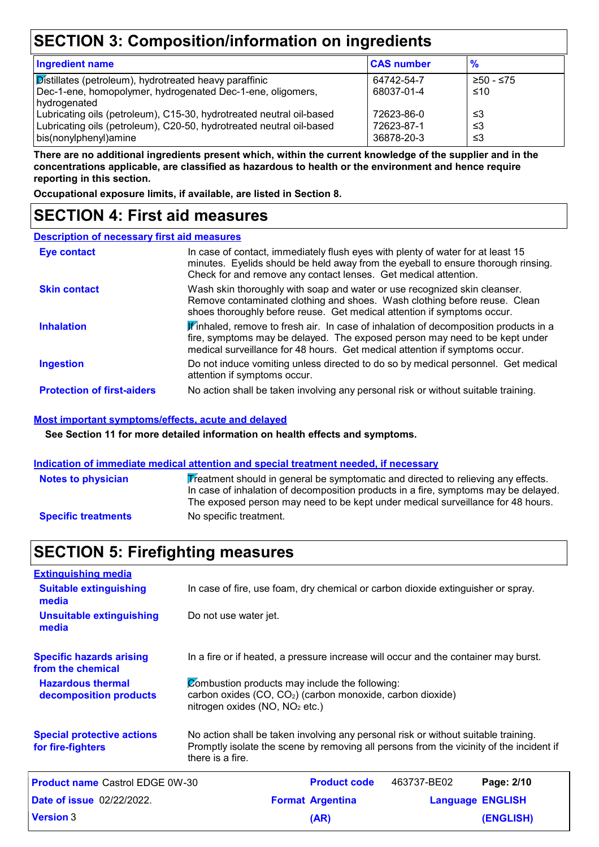### **SECTION 3: Composition/information on ingredients**

| <b>Ingredient name</b>                                               | <b>CAS number</b> | $\frac{9}{6}$ |
|----------------------------------------------------------------------|-------------------|---------------|
| Distillates (petroleum), hydrotreated heavy paraffinic               | 64742-54-7        | ≥50 - ≤75     |
| Dec-1-ene, homopolymer, hydrogenated Dec-1-ene, oligomers,           | 68037-01-4        | ≤10           |
| hydrogenated                                                         |                   |               |
| Lubricating oils (petroleum), C15-30, hydrotreated neutral oil-based | 72623-86-0        | ו≥ ≥          |
| Lubricating oils (petroleum), C20-50, hydrotreated neutral oil-based | 72623-87-1        | ≤3            |
| bis(nonylphenyl)amine                                                | 36878-20-3        | וצ≥           |
|                                                                      |                   |               |

**There are no additional ingredients present which, within the current knowledge of the supplier and in the concentrations applicable, are classified as hazardous to health or the environment and hence require reporting in this section.**

**Occupational exposure limits, if available, are listed in Section 8.**

### **SECTION 4: First aid measures**

#### **Description of necessary first aid measures**

| <b>Eye contact</b>                | In case of contact, immediately flush eyes with plenty of water for at least 15<br>minutes. Eyelids should be held away from the eyeball to ensure thorough rinsing.<br>Check for and remove any contact lenses. Get medical attention.                             |
|-----------------------------------|---------------------------------------------------------------------------------------------------------------------------------------------------------------------------------------------------------------------------------------------------------------------|
| <b>Skin contact</b>               | Wash skin thoroughly with soap and water or use recognized skin cleanser.<br>Remove contaminated clothing and shoes. Wash clothing before reuse. Clean<br>shoes thoroughly before reuse. Get medical attention if symptoms occur.                                   |
| <b>Inhalation</b>                 | $\mathbf{\hat{F}}$ inhaled, remove to fresh air. In case of inhalation of decomposition products in a<br>fire, symptoms may be delayed. The exposed person may need to be kept under<br>medical surveillance for 48 hours. Get medical attention if symptoms occur. |
| <b>Ingestion</b>                  | Do not induce vomiting unless directed to do so by medical personnel. Get medical<br>attention if symptoms occur.                                                                                                                                                   |
| <b>Protection of first-aiders</b> | No action shall be taken involving any personal risk or without suitable training.                                                                                                                                                                                  |

#### **Most important symptoms/effects, acute and delayed**

**See Section 11 for more detailed information on health effects and symptoms.**

#### **Indication of immediate medical attention and special treatment needed, if necessary**

| <b>Notes to physician</b>  | $\mathbf{\mathcal{F}}$ reatment should in general be symptomatic and directed to relieving any effects.<br>In case of inhalation of decomposition products in a fire, symptoms may be delayed.<br>The exposed person may need to be kept under medical surveillance for 48 hours. |
|----------------------------|-----------------------------------------------------------------------------------------------------------------------------------------------------------------------------------------------------------------------------------------------------------------------------------|
| <b>Specific treatments</b> | No specific treatment.                                                                                                                                                                                                                                                            |

### **SECTION 5: Firefighting measures**

| <b>Extinguishing media</b>                             |                                            |                                                                                                                                                                               |                         |                  |
|--------------------------------------------------------|--------------------------------------------|-------------------------------------------------------------------------------------------------------------------------------------------------------------------------------|-------------------------|------------------|
| <b>Suitable extinguishing</b><br>media                 |                                            | In case of fire, use foam, dry chemical or carbon dioxide extinguisher or spray.                                                                                              |                         |                  |
| <b>Unsuitable extinguishing</b><br>media               | Do not use water jet.                      |                                                                                                                                                                               |                         |                  |
| <b>Specific hazards arising</b><br>from the chemical   |                                            | In a fire or if heated, a pressure increase will occur and the container may burst.                                                                                           |                         |                  |
| <b>Hazardous thermal</b><br>decomposition products     | nitrogen oxides (NO, NO <sub>2</sub> etc.) | Combustion products may include the following:<br>carbon oxides (CO, CO <sub>2</sub> ) (carbon monoxide, carbon dioxide)                                                      |                         |                  |
| <b>Special protective actions</b><br>for fire-fighters | there is a fire.                           | No action shall be taken involving any personal risk or without suitable training.<br>Promptly isolate the scene by removing all persons from the vicinity of the incident if |                         |                  |
| <b>Product name Castrol EDGE 0W-30</b>                 |                                            | <b>Product code</b>                                                                                                                                                           | 463737-BE02             | Page: 2/10       |
| <b>Date of issue 02/22/2022.</b>                       |                                            | <b>Format Argentina</b>                                                                                                                                                       | <b>Language ENGLISH</b> |                  |
| <b>Version 3</b>                                       |                                            | (AR)                                                                                                                                                                          |                         | <b>(ENGLISH)</b> |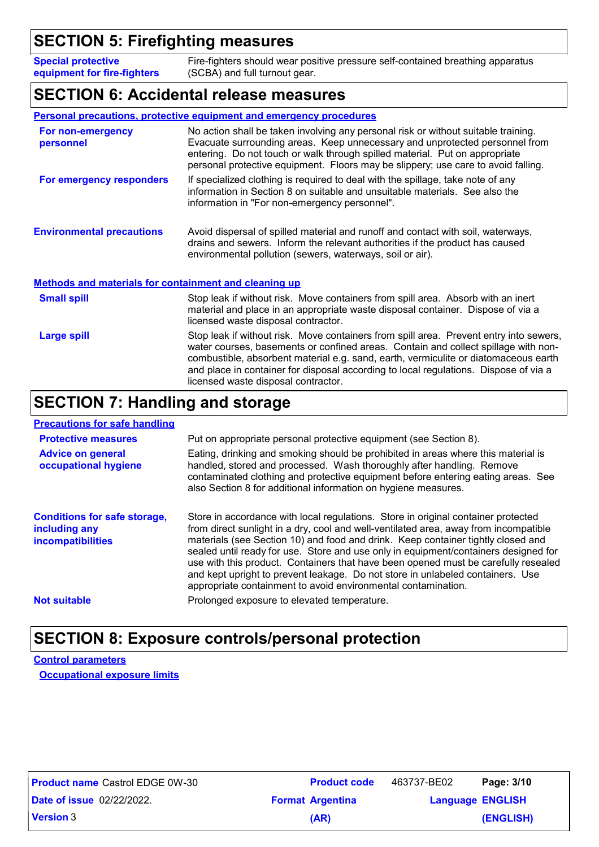### **SECTION 5: Firefighting measures**

**Special protective equipment for fire-fighters** Fire-fighters should wear positive pressure self-contained breathing apparatus (SCBA) and full turnout gear.

#### **SECTION 6: Accidental release measures**

#### **Personal precautions, protective equipment and emergency procedures**

| For non-emergency<br>personnel                               | No action shall be taken involving any personal risk or without suitable training.<br>Evacuate surrounding areas. Keep unnecessary and unprotected personnel from                                                             |  |
|--------------------------------------------------------------|-------------------------------------------------------------------------------------------------------------------------------------------------------------------------------------------------------------------------------|--|
|                                                              | entering. Do not touch or walk through spilled material. Put on appropriate<br>personal protective equipment. Floors may be slippery; use care to avoid falling.                                                              |  |
| For emergency responders                                     | If specialized clothing is required to deal with the spillage, take note of any<br>information in Section 8 on suitable and unsuitable materials. See also the<br>information in "For non-emergency personnel".               |  |
| <b>Environmental precautions</b>                             | Avoid dispersal of spilled material and runoff and contact with soil, waterways,<br>drains and sewers. Inform the relevant authorities if the product has caused<br>environmental pollution (sewers, waterways, soil or air). |  |
| <b>Methods and materials for containment and cleaning up</b> |                                                                                                                                                                                                                               |  |
| <b>Small spill</b>                                           | Stop leak if without risk. Move containers from spill area. Absorb with an inert<br>material and place in an appropriate waste disposal container. Dispose of via a<br>licensed waste disposal contractor.                    |  |
|                                                              |                                                                                                                                                                                                                               |  |

**Large spill** Stop leak if without risk. Move containers from spill area. Prevent entry into sewers, water courses, basements or confined areas. Contain and collect spillage with noncombustible, absorbent material e.g. sand, earth, vermiculite or diatomaceous earth and place in container for disposal according to local regulations. Dispose of via a licensed waste disposal contractor.

### **SECTION 7: Handling and storage**

#### **Precautions for safe handling**

| <b>Protective measures</b><br><b>Advice on general</b><br>occupational hygiene   | Put on appropriate personal protective equipment (see Section 8).<br>Eating, drinking and smoking should be prohibited in areas where this material is<br>handled, stored and processed. Wash thoroughly after handling. Remove<br>contaminated clothing and protective equipment before entering eating areas. See<br>also Section 8 for additional information on hygiene measures.                                                                                                                                                                                                         |
|----------------------------------------------------------------------------------|-----------------------------------------------------------------------------------------------------------------------------------------------------------------------------------------------------------------------------------------------------------------------------------------------------------------------------------------------------------------------------------------------------------------------------------------------------------------------------------------------------------------------------------------------------------------------------------------------|
| <b>Conditions for safe storage,</b><br>including any<br><b>incompatibilities</b> | Store in accordance with local regulations. Store in original container protected<br>from direct sunlight in a dry, cool and well-ventilated area, away from incompatible<br>materials (see Section 10) and food and drink. Keep container tightly closed and<br>sealed until ready for use. Store and use only in equipment/containers designed for<br>use with this product. Containers that have been opened must be carefully resealed<br>and kept upright to prevent leakage. Do not store in unlabeled containers. Use<br>appropriate containment to avoid environmental contamination. |
| <b>Not suitable</b>                                                              | Prolonged exposure to elevated temperature.                                                                                                                                                                                                                                                                                                                                                                                                                                                                                                                                                   |

### **SECTION 8: Exposure controls/personal protection**

**Control parameters Occupational exposure limits**

| <b>Product name Castrol EDGE 0W-30</b> | <b>Product code</b>     | 463737-BE02 | Page: 3/10              |
|----------------------------------------|-------------------------|-------------|-------------------------|
| <b>Date of issue 02/22/2022.</b>       | <b>Format Argentina</b> |             | <b>Language ENGLISH</b> |
| <b>Version 3</b>                       | (AR)                    |             | (ENGLISH)               |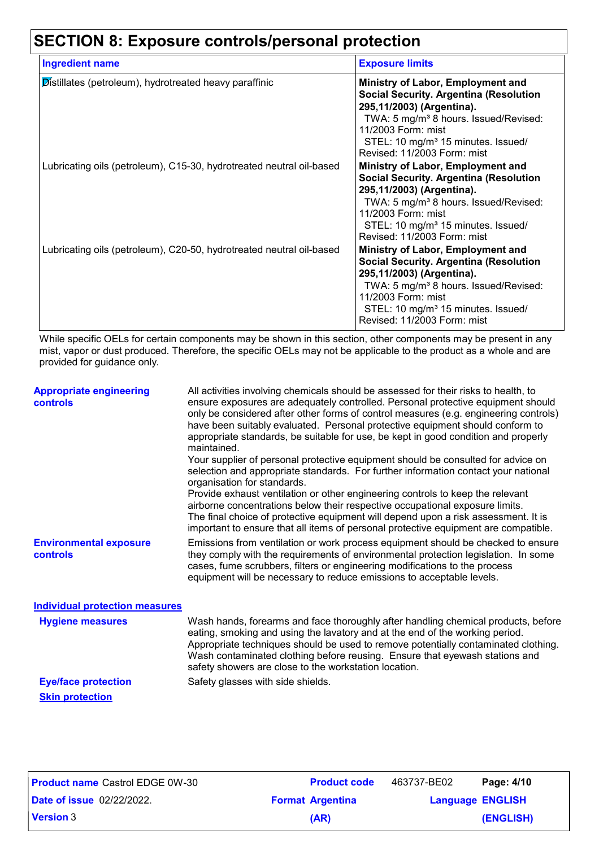# **SECTION 8: Exposure controls/personal protection**

| <b>Ingredient name</b>                                               | <b>Exposure limits</b>                                                                                                                                                                                                                                                      |
|----------------------------------------------------------------------|-----------------------------------------------------------------------------------------------------------------------------------------------------------------------------------------------------------------------------------------------------------------------------|
| Distillates (petroleum), hydrotreated heavy paraffinic               | Ministry of Labor, Employment and<br><b>Social Security. Argentina (Resolution</b><br>295,11/2003) (Argentina).<br>TWA: 5 mg/m <sup>3</sup> 8 hours. Issued/Revised:<br>11/2003 Form: mist<br>STEL: 10 mg/m <sup>3</sup> 15 minutes. Issued/<br>Revised: 11/2003 Form: mist |
| Lubricating oils (petroleum), C15-30, hydrotreated neutral oil-based | Ministry of Labor, Employment and<br><b>Social Security. Argentina (Resolution</b><br>295,11/2003) (Argentina).<br>TWA: 5 mg/m <sup>3</sup> 8 hours. Issued/Revised:<br>11/2003 Form: mist<br>STEL: 10 mg/m <sup>3</sup> 15 minutes. Issued/<br>Revised: 11/2003 Form: mist |
| Lubricating oils (petroleum), C20-50, hydrotreated neutral oil-based | Ministry of Labor, Employment and<br><b>Social Security. Argentina (Resolution</b><br>295,11/2003) (Argentina).<br>TWA: 5 mg/m <sup>3</sup> 8 hours. Issued/Revised:<br>11/2003 Form: mist<br>STEL: 10 mg/m <sup>3</sup> 15 minutes. Issued/<br>Revised: 11/2003 Form: mist |

While specific OELs for certain components may be shown in this section, other components may be present in any mist, vapor or dust produced. Therefore, the specific OELs may not be applicable to the product as a whole and are provided for guidance only.

| <b>Appropriate engineering</b><br><b>controls</b> | All activities involving chemicals should be assessed for their risks to health, to<br>ensure exposures are adequately controlled. Personal protective equipment should<br>only be considered after other forms of control measures (e.g. engineering controls)<br>have been suitably evaluated. Personal protective equipment should conform to<br>appropriate standards, be suitable for use, be kept in good condition and properly<br>maintained.<br>Your supplier of personal protective equipment should be consulted for advice on<br>selection and appropriate standards. For further information contact your national<br>organisation for standards.<br>Provide exhaust ventilation or other engineering controls to keep the relevant<br>airborne concentrations below their respective occupational exposure limits.<br>The final choice of protective equipment will depend upon a risk assessment. It is<br>important to ensure that all items of personal protective equipment are compatible. |
|---------------------------------------------------|---------------------------------------------------------------------------------------------------------------------------------------------------------------------------------------------------------------------------------------------------------------------------------------------------------------------------------------------------------------------------------------------------------------------------------------------------------------------------------------------------------------------------------------------------------------------------------------------------------------------------------------------------------------------------------------------------------------------------------------------------------------------------------------------------------------------------------------------------------------------------------------------------------------------------------------------------------------------------------------------------------------|
| <b>Environmental exposure</b><br>controls         | Emissions from ventilation or work process equipment should be checked to ensure<br>they comply with the requirements of environmental protection legislation. In some<br>cases, fume scrubbers, filters or engineering modifications to the process<br>equipment will be necessary to reduce emissions to acceptable levels.                                                                                                                                                                                                                                                                                                                                                                                                                                                                                                                                                                                                                                                                                 |
| <b>Individual protection measures</b>             |                                                                                                                                                                                                                                                                                                                                                                                                                                                                                                                                                                                                                                                                                                                                                                                                                                                                                                                                                                                                               |
| <b>Hygiene measures</b>                           | Wash hands, forearms and face thoroughly after handling chemical products, before<br>eating, smoking and using the lavatory and at the end of the working period.<br>Appropriate techniques should be used to remove potentially contaminated clothing.<br>Wash contaminated clothing before reusing. Ensure that eyewash stations and<br>safety showers are close to the workstation location.                                                                                                                                                                                                                                                                                                                                                                                                                                                                                                                                                                                                               |
| <b>Eye/face protection</b>                        | Safety glasses with side shields.                                                                                                                                                                                                                                                                                                                                                                                                                                                                                                                                                                                                                                                                                                                                                                                                                                                                                                                                                                             |
| <b>Skin protection</b>                            |                                                                                                                                                                                                                                                                                                                                                                                                                                                                                                                                                                                                                                                                                                                                                                                                                                                                                                                                                                                                               |

| <b>Product name Castrol EDGE 0W-30</b> | <b>Product code</b>     | 463737-BE02             | Page: 4/10 |
|----------------------------------------|-------------------------|-------------------------|------------|
| <b>Date of issue 02/22/2022.</b>       | <b>Format Argentina</b> | <b>Language ENGLISH</b> |            |
| <b>Version 3</b>                       | (AR)                    |                         | (ENGLISH)  |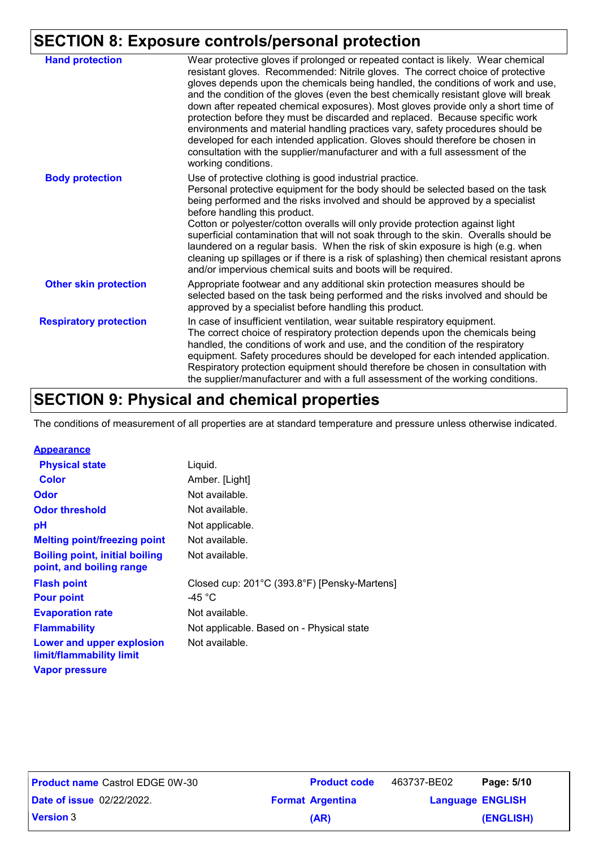### **SECTION 8: Exposure controls/personal protection**

| <b>Hand protection</b>        | Wear protective gloves if prolonged or repeated contact is likely. Wear chemical<br>resistant gloves. Recommended: Nitrile gloves. The correct choice of protective<br>gloves depends upon the chemicals being handled, the conditions of work and use,<br>and the condition of the gloves (even the best chemically resistant glove will break<br>down after repeated chemical exposures). Most gloves provide only a short time of<br>protection before they must be discarded and replaced. Because specific work<br>environments and material handling practices vary, safety procedures should be<br>developed for each intended application. Gloves should therefore be chosen in<br>consultation with the supplier/manufacturer and with a full assessment of the<br>working conditions. |
|-------------------------------|-------------------------------------------------------------------------------------------------------------------------------------------------------------------------------------------------------------------------------------------------------------------------------------------------------------------------------------------------------------------------------------------------------------------------------------------------------------------------------------------------------------------------------------------------------------------------------------------------------------------------------------------------------------------------------------------------------------------------------------------------------------------------------------------------|
| <b>Body protection</b>        | Use of protective clothing is good industrial practice.<br>Personal protective equipment for the body should be selected based on the task<br>being performed and the risks involved and should be approved by a specialist<br>before handling this product.<br>Cotton or polyester/cotton overalls will only provide protection against light<br>superficial contamination that will not soak through to the skin. Overalls should be<br>laundered on a regular basis. When the risk of skin exposure is high (e.g. when<br>cleaning up spillages or if there is a risk of splashing) then chemical resistant aprons<br>and/or impervious chemical suits and boots will be required.                                                                                                           |
| <b>Other skin protection</b>  | Appropriate footwear and any additional skin protection measures should be<br>selected based on the task being performed and the risks involved and should be<br>approved by a specialist before handling this product.                                                                                                                                                                                                                                                                                                                                                                                                                                                                                                                                                                         |
| <b>Respiratory protection</b> | In case of insufficient ventilation, wear suitable respiratory equipment.<br>The correct choice of respiratory protection depends upon the chemicals being<br>handled, the conditions of work and use, and the condition of the respiratory<br>equipment. Safety procedures should be developed for each intended application.<br>Respiratory protection equipment should therefore be chosen in consultation with<br>the supplier/manufacturer and with a full assessment of the working conditions.                                                                                                                                                                                                                                                                                           |

### **SECTION 9: Physical and chemical properties**

The conditions of measurement of all properties are at standard temperature and pressure unless otherwise indicated.

| <b>Appearance</b>                                                 |                                              |
|-------------------------------------------------------------------|----------------------------------------------|
| <b>Physical state</b>                                             | Liquid.                                      |
| <b>Color</b>                                                      | Amber. [Light]                               |
| <b>Odor</b>                                                       | Not available.                               |
| <b>Odor threshold</b>                                             | Not available.                               |
| рH                                                                | Not applicable.                              |
| <b>Melting point/freezing point</b>                               | Not available.                               |
| <b>Boiling point, initial boiling</b><br>point, and boiling range | Not available.                               |
| <b>Flash point</b>                                                | Closed cup: 201°C (393.8°F) [Pensky-Martens] |
| <b>Pour point</b>                                                 | -45 °C                                       |
| <b>Evaporation rate</b>                                           | Not available.                               |
| <b>Flammability</b>                                               | Not applicable. Based on - Physical state    |
| Lower and upper explosion<br>limit/flammability limit             | Not available.                               |
| <b>Vapor pressure</b>                                             |                                              |

| <b>Product name Castrol EDGE 0W-30</b> | <b>Product code</b>     | 463737-BE02             | Page: 5/10 |
|----------------------------------------|-------------------------|-------------------------|------------|
| <b>Date of issue 02/22/2022.</b>       | <b>Format Argentina</b> | <b>Language ENGLISH</b> |            |
| <b>Version 3</b>                       | (AR)                    |                         | (ENGLISH)  |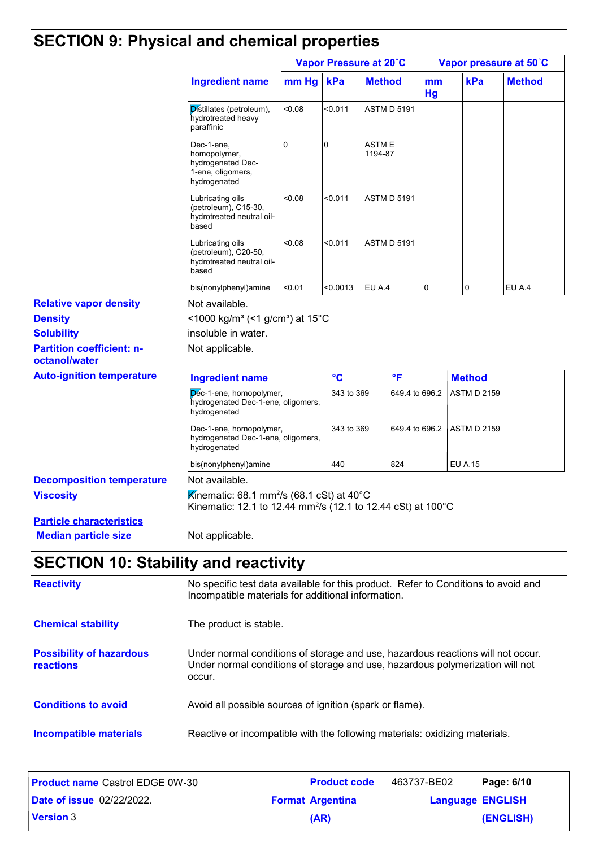### **SECTION 9: Physical and chemical properties**

|                                                                |                                                                                                                                                                            | Vapor Pressure at 20°C                                                                                                                   |              |                              |     | Vapor pressure at 50°C |                    |               |  |
|----------------------------------------------------------------|----------------------------------------------------------------------------------------------------------------------------------------------------------------------------|------------------------------------------------------------------------------------------------------------------------------------------|--------------|------------------------------|-----|------------------------|--------------------|---------------|--|
|                                                                | <b>Ingredient name</b>                                                                                                                                                     | mm Hg                                                                                                                                    | kPa          | <b>Method</b>                |     | mm<br>Hg               | kPa                | <b>Method</b> |  |
|                                                                | Distillates (petroleum),<br>hydrotreated heavy<br>paraffinic                                                                                                               | <0.08                                                                                                                                    | < 0.011      | <b>ASTM D 5191</b>           |     |                        |                    |               |  |
|                                                                | Dec-1-ene,<br>homopolymer,<br>hydrogenated Dec-<br>1-ene, oligomers,<br>hydrogenated                                                                                       | 0                                                                                                                                        | 0            | <b>ASTME</b><br>1194-87      |     |                        |                    |               |  |
|                                                                | Lubricating oils<br>(petroleum), C15-30,<br>hydrotreated neutral oil-<br>based                                                                                             | 0.08                                                                                                                                     | < 0.011      | <b>ASTM D 5191</b>           |     |                        |                    |               |  |
|                                                                | Lubricating oils<br>(petroleum), C20-50,<br>hydrotreated neutral oil-<br>based                                                                                             | < 0.08                                                                                                                                   | $0.011$      | <b>ASTM D 5191</b>           |     |                        |                    |               |  |
|                                                                | bis(nonylphenyl)amine                                                                                                                                                      | < 0.01                                                                                                                                   | <0.0013      | EU A.4                       |     | 0                      | 0                  | EU A.4        |  |
| <b>Relative vapor density</b>                                  | Not available.                                                                                                                                                             |                                                                                                                                          |              |                              |     |                        |                    |               |  |
| <b>Density</b>                                                 | <1000 kg/m <sup>3</sup> (<1 g/cm <sup>3</sup> ) at 15 <sup>°</sup> C                                                                                                       |                                                                                                                                          |              |                              |     |                        |                    |               |  |
| <b>Solubility</b>                                              | insoluble in water.                                                                                                                                                        |                                                                                                                                          |              |                              |     |                        |                    |               |  |
| <b>Partition coefficient: n-</b><br>octanol/water              | Not applicable.                                                                                                                                                            |                                                                                                                                          |              |                              |     |                        |                    |               |  |
| <b>Auto-ignition temperature</b>                               | <b>Ingredient name</b>                                                                                                                                                     | $\circ$ <sub>C</sub>                                                                                                                     | $\mathsf{P}$ |                              |     | <b>Method</b>          |                    |               |  |
|                                                                | Dec-1-ene, homopolymer,<br>hydrogenated Dec-1-ene, oligomers,<br>hydrogenated                                                                                              |                                                                                                                                          |              | 343 to 369<br>649.4 to 696.2 |     |                        | <b>ASTM D 2159</b> |               |  |
|                                                                | Dec-1-ene, homopolymer,<br>hydrogenated Dec-1-ene, oligomers,<br>hydrogenated                                                                                              | 343 to 369                                                                                                                               |              | 649.4 to 696.2               |     | <b>ASTM D 2159</b>     |                    |               |  |
|                                                                | bis(nonylphenyl)amine                                                                                                                                                      |                                                                                                                                          | 440          |                              | 824 |                        | <b>EU A.15</b>     |               |  |
| <b>Decomposition temperature</b>                               | Not available.                                                                                                                                                             |                                                                                                                                          |              |                              |     |                        |                    |               |  |
| <b>Viscosity</b>                                               | Kinematic: 68.1 mm <sup>2</sup> /s (68.1 cSt) at 40°C<br>Kinematic: 12.1 to 12.44 mm <sup>2</sup> /s (12.1 to 12.44 cSt) at 100°C                                          |                                                                                                                                          |              |                              |     |                        |                    |               |  |
| <b>Particle characteristics</b><br><b>Median particle size</b> | Not applicable.                                                                                                                                                            |                                                                                                                                          |              |                              |     |                        |                    |               |  |
| <b>SECTION 10: Stability and reactivity</b>                    |                                                                                                                                                                            |                                                                                                                                          |              |                              |     |                        |                    |               |  |
| <b>Reactivity</b>                                              |                                                                                                                                                                            | No specific test data available for this product. Refer to Conditions to avoid and<br>Incompatible materials for additional information. |              |                              |     |                        |                    |               |  |
| <b>Chemical stability</b>                                      | The product is stable.                                                                                                                                                     |                                                                                                                                          |              |                              |     |                        |                    |               |  |
| <b>Possibility of hazardous</b><br><b>reactions</b>            | Under normal conditions of storage and use, hazardous reactions will not occur.<br>Under normal conditions of storage and use, hazardous polymerization will not<br>occur. |                                                                                                                                          |              |                              |     |                        |                    |               |  |
| <b>Conditions to avoid</b>                                     | Avoid all possible sources of ignition (spark or flame).                                                                                                                   |                                                                                                                                          |              |                              |     |                        |                    |               |  |

**Incompatible materials** Reactive or incompatible with the following materials: oxidizing materials.

| <b>Product name Castrol EDGE 0W-30</b> |                         | <b>Product code</b> | 463737-BE02             | Page: 6/10 |
|----------------------------------------|-------------------------|---------------------|-------------------------|------------|
| <b>Date of issue 02/22/2022.</b>       | <b>Format Argentina</b> |                     | <b>Language ENGLISH</b> |            |
| <b>Version 3</b>                       |                         | (AR)                |                         | (ENGLISH)  |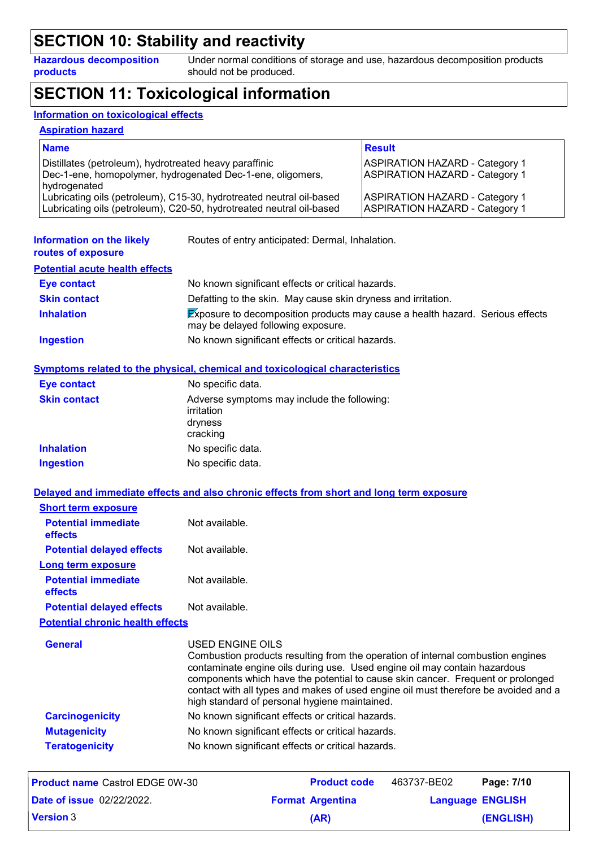### **SECTION 10: Stability and reactivity**

**Hazardous decomposition products**

Under normal conditions of storage and use, hazardous decomposition products should not be produced.

### **SECTION 11: Toxicological information**

#### **Information on toxicological effects**

#### **Aspiration hazard**

| <b>Name</b>                                                                                                                                  | <b>Result</b>                                                                  |
|----------------------------------------------------------------------------------------------------------------------------------------------|--------------------------------------------------------------------------------|
| Distillates (petroleum), hydrotreated heavy paraffinic<br>Dec-1-ene, homopolymer, hydrogenated Dec-1-ene, oligomers,<br>hydrogenated         | <b>ASPIRATION HAZARD - Category 1</b><br><b>ASPIRATION HAZARD - Category 1</b> |
| Lubricating oils (petroleum), C15-30, hydrotreated neutral oil-based<br>Lubricating oils (petroleum), C20-50, hydrotreated neutral oil-based | <b>ASPIRATION HAZARD - Category 1</b><br><b>ASPIRATION HAZARD - Category 1</b> |

| Information on the likely<br>routes of exposure | Routes of entry anticipated: Dermal, Inhalation.                                                                           |
|-------------------------------------------------|----------------------------------------------------------------------------------------------------------------------------|
| <b>Potential acute health effects</b>           |                                                                                                                            |
| <b>Eye contact</b>                              | No known significant effects or critical hazards.                                                                          |
| <b>Skin contact</b>                             | Defatting to the skin. May cause skin dryness and irritation.                                                              |
| <b>Inhalation</b>                               | <b>Exposure to decomposition products may cause a health hazard. Serious effects</b><br>may be delayed following exposure. |
| <b>Ingestion</b>                                | No known significant effects or critical hazards.                                                                          |

#### **Symptoms related to the physical, chemical and toxicological characteristics**

| <b>Eye contact</b>  | No specific data.                                                                |
|---------------------|----------------------------------------------------------------------------------|
| <b>Skin contact</b> | Adverse symptoms may include the following:<br>irritation<br>dryness<br>cracking |
| <b>Inhalation</b>   | No specific data.                                                                |
| <b>Ingestion</b>    | No specific data.                                                                |

|  | Delayed and immediate effects and also chronic effects from short and long term exposure |  |  |  |  |  |  |
|--|------------------------------------------------------------------------------------------|--|--|--|--|--|--|
|  |                                                                                          |  |  |  |  |  |  |

| <b>Short term exposure</b>            |                |
|---------------------------------------|----------------|
| <b>Potential immediate</b><br>effects | Not available. |
| <b>Potential delayed effects</b>      | Not available. |
| Long term exposure                    |                |
| <b>Potential immediate</b><br>effects | Not available. |
| <b>Potential delayed effects</b>      | Not available. |

**Potential chronic health effects**

| <b>General</b>         | USED ENGINE OILS<br>Combustion products resulting from the operation of internal combustion engines<br>contaminate engine oils during use. Used engine oil may contain hazardous<br>components which have the potential to cause skin cancer. Frequent or prolonged<br>contact with all types and makes of used engine oil must therefore be avoided and a<br>high standard of personal hygiene maintained. |
|------------------------|-------------------------------------------------------------------------------------------------------------------------------------------------------------------------------------------------------------------------------------------------------------------------------------------------------------------------------------------------------------------------------------------------------------|
| <b>Carcinogenicity</b> | No known significant effects or critical hazards.                                                                                                                                                                                                                                                                                                                                                           |
| <b>Mutagenicity</b>    | No known significant effects or critical hazards.                                                                                                                                                                                                                                                                                                                                                           |
| <b>Teratogenicity</b>  | No known significant effects or critical hazards.                                                                                                                                                                                                                                                                                                                                                           |

| <b>Product name Castrol EDGE 0W-30</b> | <b>Product code</b>     | 463737-BE02             | Page: 7/10 |
|----------------------------------------|-------------------------|-------------------------|------------|
| <b>Date of issue 02/22/2022.</b>       | <b>Format Argentina</b> | <b>Language ENGLISH</b> |            |
| <b>Version 3</b>                       | (AR)                    |                         | (ENGLISH)  |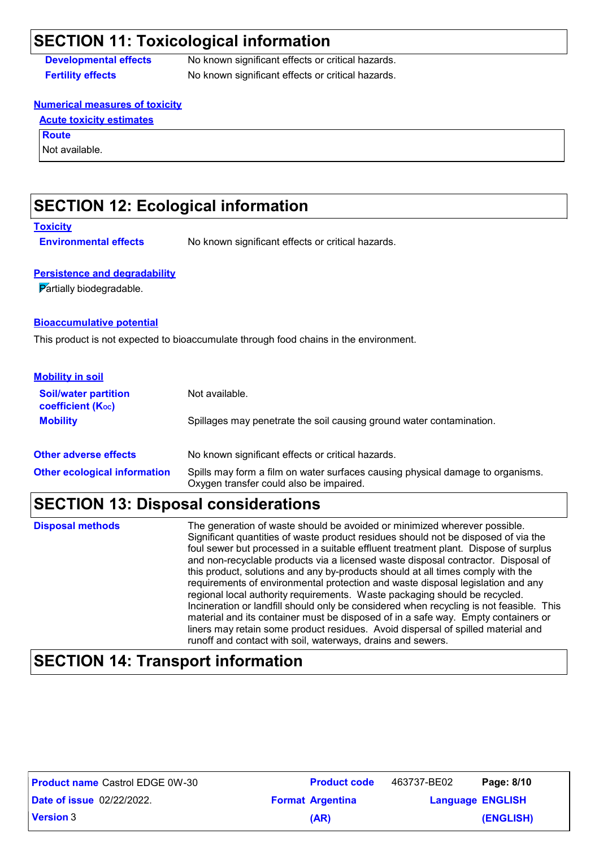### **SECTION 11: Toxicological information**

**Developmental effects** No known significant effects or critical hazards. **Fertility effects** No known significant effects or critical hazards.

#### **Numerical measures of toxicity**

#### **Acute toxicity estimates**

**Route**

Not available.

### **SECTION 12: Ecological information**

#### **Toxicity**

**Environmental effects** No known significant effects or critical hazards.

#### **Persistence and degradability**

Partially biodegradable.

#### **Bioaccumulative potential**

This product is not expected to bioaccumulate through food chains in the environment.

| <b>Mobility in soil</b>                                 |                                                                                                                           |
|---------------------------------------------------------|---------------------------------------------------------------------------------------------------------------------------|
| <b>Soil/water partition</b><br><b>coefficient (Koc)</b> | Not available.                                                                                                            |
| <b>Mobility</b>                                         | Spillages may penetrate the soil causing ground water contamination.                                                      |
| <b>Other adverse effects</b>                            | No known significant effects or critical hazards.                                                                         |
| <b>Other ecological information</b>                     | Spills may form a film on water surfaces causing physical damage to organisms.<br>Oxygen transfer could also be impaired. |

# **SECTION 13: Disposal considerations**

| <b>Disposal methods</b> | The generation of waste should be avoided or minimized wherever possible.<br>Significant quantities of waste product residues should not be disposed of via the<br>foul sewer but processed in a suitable effluent treatment plant. Dispose of surplus<br>and non-recyclable products via a licensed waste disposal contractor. Disposal of<br>this product, solutions and any by-products should at all times comply with the<br>requirements of environmental protection and waste disposal legislation and any<br>regional local authority requirements. Waste packaging should be recycled.<br>Incineration or landfill should only be considered when recycling is not feasible. This<br>material and its container must be disposed of in a safe way. Empty containers or<br>liners may retain some product residues. Avoid dispersal of spilled material and |
|-------------------------|---------------------------------------------------------------------------------------------------------------------------------------------------------------------------------------------------------------------------------------------------------------------------------------------------------------------------------------------------------------------------------------------------------------------------------------------------------------------------------------------------------------------------------------------------------------------------------------------------------------------------------------------------------------------------------------------------------------------------------------------------------------------------------------------------------------------------------------------------------------------|
|                         | runoff and contact with soil, waterways, drains and sewers.                                                                                                                                                                                                                                                                                                                                                                                                                                                                                                                                                                                                                                                                                                                                                                                                         |

### **SECTION 14: Transport information**

| <b>Product name Castrol EDGE 0W-30</b> | <b>Product code</b>     | 463737-BE02             | Page: 8/10 |
|----------------------------------------|-------------------------|-------------------------|------------|
| <b>Date of issue 02/22/2022.</b>       | <b>Format Argentina</b> | <b>Language ENGLISH</b> |            |
| <b>Version 3</b>                       | (AR)                    |                         | (ENGLISH)  |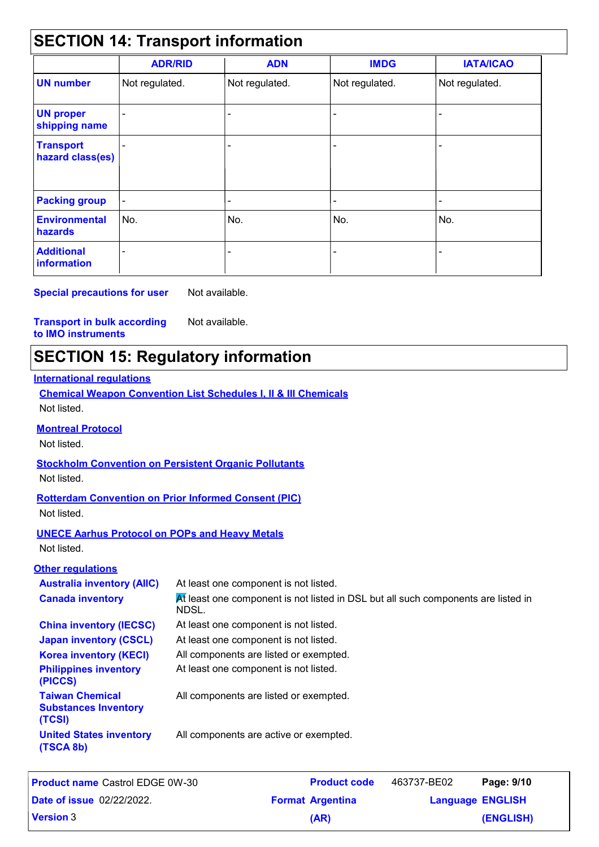#### **SECTION 14: Transport information** - - - - Not regulated. - - Not regulated. - - **IMDG IATA/ICAO UN number UN proper shipping name Transport hazard class(es) Packing group Additional information Environmental hazards** No. No. **ADR/RID** Not regulated. - - No. - **ADN** Not regulated. - - No. -

**Special precautions for user** Not available.

#### **Transport in bulk according to IMO instruments** Not available.

### **SECTION 15: Regulatory information**

#### **International regulations**

**Chemical Weapon Convention List Schedules I, II & III Chemicals** Not listed.

#### **Montreal Protocol**

Not listed.

#### **Stockholm Convention on Persistent Organic Pollutants**

Not listed.

#### **Rotterdam Convention on Prior Informed Consent (PIC)** Not listed.

#### **UNECE Aarhus Protocol on POPs and Heavy Metals**

Not listed.

#### **Other regulations**

| <b>Australia inventory (AIIC)</b>                               | At least one component is not listed.                                                      |
|-----------------------------------------------------------------|--------------------------------------------------------------------------------------------|
| <b>Canada inventory</b>                                         | At least one component is not listed in DSL but all such components are listed in<br>NDSL. |
| <b>China inventory (IECSC)</b>                                  | At least one component is not listed.                                                      |
| <b>Japan inventory (CSCL)</b>                                   | At least one component is not listed.                                                      |
| <b>Korea inventory (KECI)</b>                                   | All components are listed or exempted.                                                     |
| <b>Philippines inventory</b><br>(PICCS)                         | At least one component is not listed.                                                      |
| <b>Taiwan Chemical</b><br><b>Substances Inventory</b><br>(TCSI) | All components are listed or exempted.                                                     |
| <b>United States inventory</b><br>(TSCA 8b)                     | All components are active or exempted.                                                     |

| <b>Product name Castrol EDGE 0W-30</b> | <b>Product code</b>     | 463737-BE02             | Page: 9/10 |
|----------------------------------------|-------------------------|-------------------------|------------|
| <b>Date of issue 02/22/2022.</b>       | <b>Format Argentina</b> | <b>Language ENGLISH</b> |            |
| <b>Version 3</b>                       | (AR)                    |                         | (ENGLISH)  |